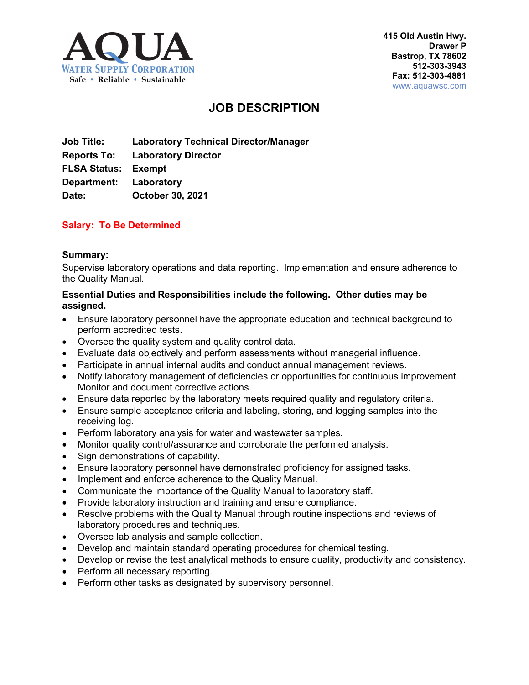

# **JOB DESCRIPTION**

**Job Title: Laboratory Technical Director/Manager Reports To: Laboratory Director FLSA Status: Exempt Department: Laboratory Date: October 30, 2021**

# **Salary: To Be Determined**

#### **Summary:**

Supervise laboratory operations and data reporting. Implementation and ensure adherence to the Quality Manual.

#### **Essential Duties and Responsibilities include the following. Other duties may be assigned.**

- Ensure laboratory personnel have the appropriate education and technical background to perform accredited tests.
- Oversee the quality system and quality control data.
- Evaluate data objectively and perform assessments without managerial influence.
- Participate in annual internal audits and conduct annual management reviews.
- Notify laboratory management of deficiencies or opportunities for continuous improvement. Monitor and document corrective actions.
- Ensure data reported by the laboratory meets required quality and regulatory criteria.
- Ensure sample acceptance criteria and labeling, storing, and logging samples into the receiving log.
- Perform laboratory analysis for water and wastewater samples.
- Monitor quality control/assurance and corroborate the performed analysis.
- Sign demonstrations of capability.
- Ensure laboratory personnel have demonstrated proficiency for assigned tasks.
- Implement and enforce adherence to the Quality Manual.
- Communicate the importance of the Quality Manual to laboratory staff.
- Provide laboratory instruction and training and ensure compliance.
- Resolve problems with the Quality Manual through routine inspections and reviews of laboratory procedures and techniques.
- Oversee lab analysis and sample collection.
- Develop and maintain standard operating procedures for chemical testing.
- Develop or revise the test analytical methods to ensure quality, productivity and consistency.
- Perform all necessary reporting.
- Perform other tasks as designated by supervisory personnel.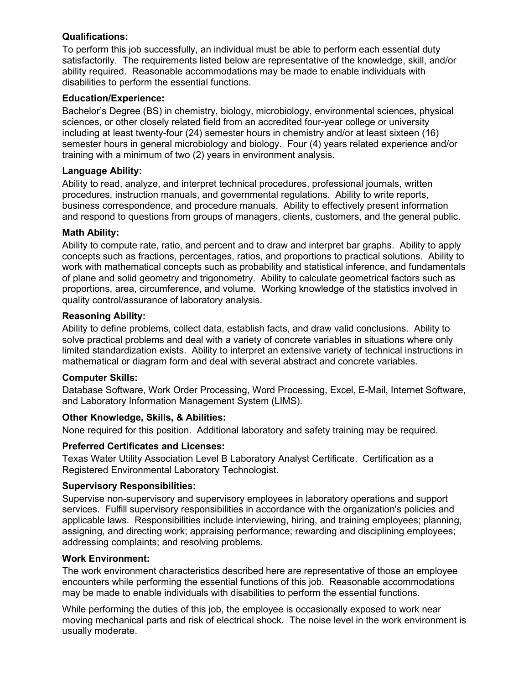# **Qualifications:**

To perform this job successfully, an individual must be able to perform each essential duty satisfactorily. The requirements listed below are representative of the knowledge, skill, and/or ability required. Reasonable accommodations may be made to enable individuals with disabilities to perform the essential functions.

## **Education/Experience:**

Bachelor's Degree (BS) in chemistry, biology, microbiology, environmental sciences, physical sciences, or other closely related field from an accredited four-year college or university including at least twenty-four (24) semester hours in chemistry and/or at least sixteen (16) semester hours in general microbiology and biology. Four (4) years related experience and/or training with a minimum of two (2) years in environment analysis.

# **Language Ability:**

Ability to read, analyze, and interpret technical procedures, professional journals, written procedures, instruction manuals, and governmental regulations. Ability to write reports, business correspondence, and procedure manuals. Ability to effectively present information and respond to questions from groups of managers, clients, customers, and the general public.

# **Math Ability:**

Ability to compute rate, ratio, and percent and to draw and interpret bar graphs. Ability to apply concepts such as fractions, percentages, ratios, and proportions to practical solutions. Ability to work with mathematical concepts such as probability and statistical inference, and fundamentals of plane and solid geometry and trigonometry. Ability to calculate geometrical factors such as proportions, area, circumference, and volume. Working knowledge of the statistics involved in quality control/assurance of laboratory analysis.

# **Reasoning Ability:**

Ability to define problems, collect data, establish facts, and draw valid conclusions. Ability to solve practical problems and deal with a variety of concrete variables in situations where only limited standardization exists. Ability to interpret an extensive variety of technical instructions in mathematical or diagram form and deal with several abstract and concrete variables.

### **Computer Skills:**

Database Software, Work Order Processing, Word Processing, Excel, E-Mail, Internet Software, and Laboratory Information Management System (LIMS).

# **Other Knowledge, Skills, & Abilities:**

None required for this position. Additional laboratory and safety training may be required.

### **Preferred Certificates and Licenses:**

Texas Water Utility Association Level B Laboratory Analyst Certificate. Certification as a Registered Environmental Laboratory Technologist.

### **Supervisory Responsibilities:**

Supervise non-supervisory and supervisory employees in laboratory operations and support services. Fulfill supervisory responsibilities in accordance with the organization's policies and applicable laws. Responsibilities include interviewing, hiring, and training employees; planning, assigning, and directing work; appraising performance; rewarding and disciplining employees; addressing complaints; and resolving problems.

### **Work Environment:**

The work environment characteristics described here are representative of those an employee encounters while performing the essential functions of this job. Reasonable accommodations may be made to enable individuals with disabilities to perform the essential functions.

While performing the duties of this job, the employee is occasionally exposed to work near moving mechanical parts and risk of electrical shock. The noise level in the work environment is usually moderate.